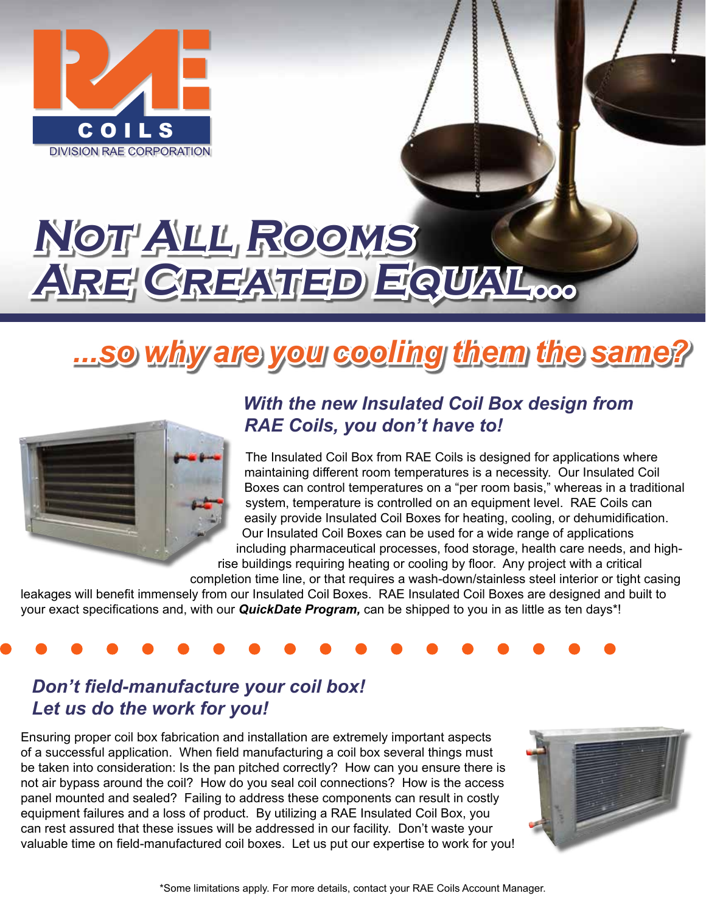

# **Not All Rooms ARE CREATED EQUAL...**

# *...so why are you cooling them the same?*



#### *With the new Insulated Coil Box design from RAE Coils, you don't have to!*

The Insulated Coil Box from RAE Coils is designed for applications where maintaining different room temperatures is a necessity. Our Insulated Coil Boxes can control temperatures on a "per room basis," whereas in a traditional system, temperature is controlled on an equipment level. RAE Coils can easily provide Insulated Coil Boxes for heating, cooling, or dehumidification. Our Insulated Coil Boxes can be used for a wide range of applications including pharmaceutical processes, food storage, health care needs, and high-

rise buildings requiring heating or cooling by floor. Any project with a critical

completion time line, or that requires a wash-down/stainless steel interior or tight casing leakages will benefit immensely from our Insulated Coil Boxes. RAE Insulated Coil Boxes are designed and built to your exact specifications and, with our *QuickDate Program,* can be shipped to you in as little as ten days\*!

#### *Don't field-manufacture your coil box! Let us do the work for you!*

Ensuring proper coil box fabrication and installation are extremely important aspects of a successful application. When field manufacturing a coil box several things must be taken into consideration: Is the pan pitched correctly? How can you ensure there is not air bypass around the coil? How do you seal coil connections? How is the access panel mounted and sealed? Failing to address these components can result in costly equipment failures and a loss of product. By utilizing a RAE Insulated Coil Box, you can rest assured that these issues will be addressed in our facility. Don't waste your valuable time on field-manufactured coil boxes. Let us put our expertise to work for you!